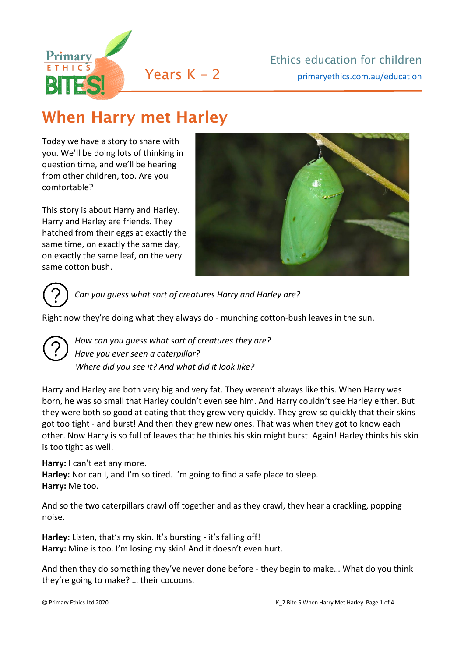

# When Harry met Harley

Today we have a story to share with you. We'll be doing lots of thinking in question time, and we'll be hearing from other children, too. Are you comfortable?

This story is about Harry and Harley. Harry and Harley are friends. They hatched from their eggs at exactly the same time, on exactly the same day, on exactly the same leaf, on the very same cotton bush.





*Can you guess what sort of creatures Harry and Harley are?*

Right now they're doing what they always do - munching cotton-bush leaves in the sun.



*How can you guess what sort of creatures they are? Have you ever seen a caterpillar? Where did you see it? And what did it look like?* 

Harry and Harley are both very big and very fat. They weren't always like this. When Harry was born, he was so small that Harley couldn't even see him. And Harry couldn't see Harley either. But they were both so good at eating that they grew very quickly. They grew so quickly that their skins got too tight - and burst! And then they grew new ones. That was when they got to know each other. Now Harry is so full of leaves that he thinks his skin might burst. Again! Harley thinks his skin is too tight as well.

#### **Harry:** I can't eat any more.

**Harley:** Nor can I, and I'm so tired. I'm going to find a safe place to sleep. **Harry:** Me too.

And so the two caterpillars crawl off together and as they crawl, they hear a crackling, popping noise.

**Harley:** Listen, that's my skin. It's bursting - it's falling off! **Harry:** Mine is too. I'm losing my skin! And it doesn't even hurt.

And then they do something they've never done before - they begin to make… What do you think they're going to make? … their cocoons.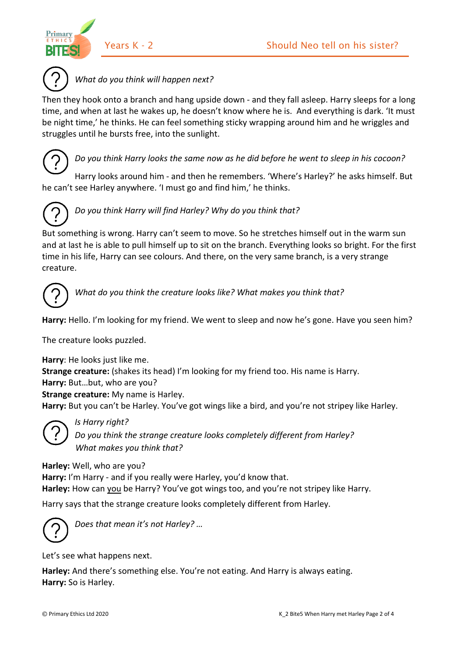



*What do you think will happen next?* 

Then they hook onto a branch and hang upside down - and they fall asleep. Harry sleeps for a long time, and when at last he wakes up, he doesn't know where he is. And everything is dark. 'It must be night time,' he thinks. He can feel something sticky wrapping around him and he wriggles and struggles until he bursts free, into the sunlight.



### *Do you think Harry looks the same now as he did before he went to sleep in his cocoon?*

Harry looks around him - and then he remembers. 'Where's Harley?' he asks himself. But he can't see Harley anywhere. 'I must go and find him,' he thinks.



## *Do you think Harry will find Harley? Why do you think that?*

But something is wrong. Harry can't seem to move. So he stretches himself out in the warm sun and at last he is able to pull himself up to sit on the branch. Everything looks so bright. For the first time in his life, Harry can see colours. And there, on the very same branch, is a very strange creature.



*What do you think the creature looks like? What makes you think that?* 

**Harry:** Hello. I'm looking for my friend. We went to sleep and now he's gone. Have you seen him?

The creature looks puzzled.

**Harry**: He looks just like me. **Strange creature:** (shakes its head) I'm looking for my friend too. His name is Harry. **Harry:** But…but, who are you? **Strange creature:** My name is Harley. **Harry:** But you can't be Harley. You've got wings like a bird, and you're not stripey like Harley.



*Do you think the strange creature looks completely different from Harley? What makes you think that?*

**Harley:** Well, who are you?

*Is Harry right?* 

**Harry:** I'm Harry - and if you really were Harley, you'd know that. **Harley:** How can you be Harry? You've got wings too, and you're not stripey like Harry.

Harry says that the strange creature looks completely different from Harley.



*Does that mean it's not Harley? …*

Let's see what happens next.

**Harley:** And there's something else. You're not eating. And Harry is always eating. **Harry:** So is Harley.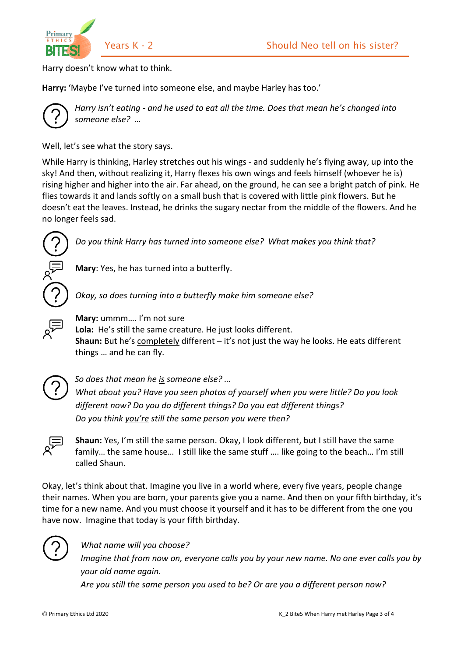



Harry doesn't know what to think.

**Harry:** 'Maybe I've turned into someone else, and maybe Harley has too.'



*Harry isn't eating - and he used to eat all the time. Does that mean he's changed into someone else? …*

Well, let's see what the story says.

While Harry is thinking, Harley stretches out his wings - and suddenly he's flying away, up into the sky! And then, without realizing it, Harry flexes his own wings and feels himself (whoever he is) rising higher and higher into the air. Far ahead, on the ground, he can see a bright patch of pink. He flies towards it and lands softly on a small bush that is covered with little pink flowers. But he doesn't eat the leaves. Instead, he drinks the sugary nectar from the middle of the flowers. And he no longer feels sad.



*Do you think Harry has turned into someone else? What makes you think that?* 

**Mary**: Yes, he has turned into a butterfly.

*Okay, so does turning into a butterfly make him someone else?* 



**Mary:** ummm…. I'm not sure

**Lola:** He's still the same creature. He just looks different. **Shaun:** But he's completely different – it's not just the way he looks. He eats different things … and he can fly.



*So does that mean he is someone else? …*

*What about you? Have you seen photos of yourself when you were little? Do you look different now? Do you do different things? Do you eat different things? Do you think you're still the same person you were then?* 



**Shaun:** Yes, I'm still the same person. Okay, I look different, but I still have the same family... the same house... I still like the same stuff .... like going to the beach... I'm still called Shaun.

Okay, let's think about that. Imagine you live in a world where, every five years, people change their names. When you are born, your parents give you a name. And then on your fifth birthday, it's time for a new name. And you must choose it yourself and it has to be different from the one you have now. Imagine that today is your fifth birthday.



#### *What name will you choose?*

*Imagine that from now on, everyone calls you by your new name. No one ever calls you by your old name again.* 

*Are you still the same person you used to be? Or are you a different person now?*